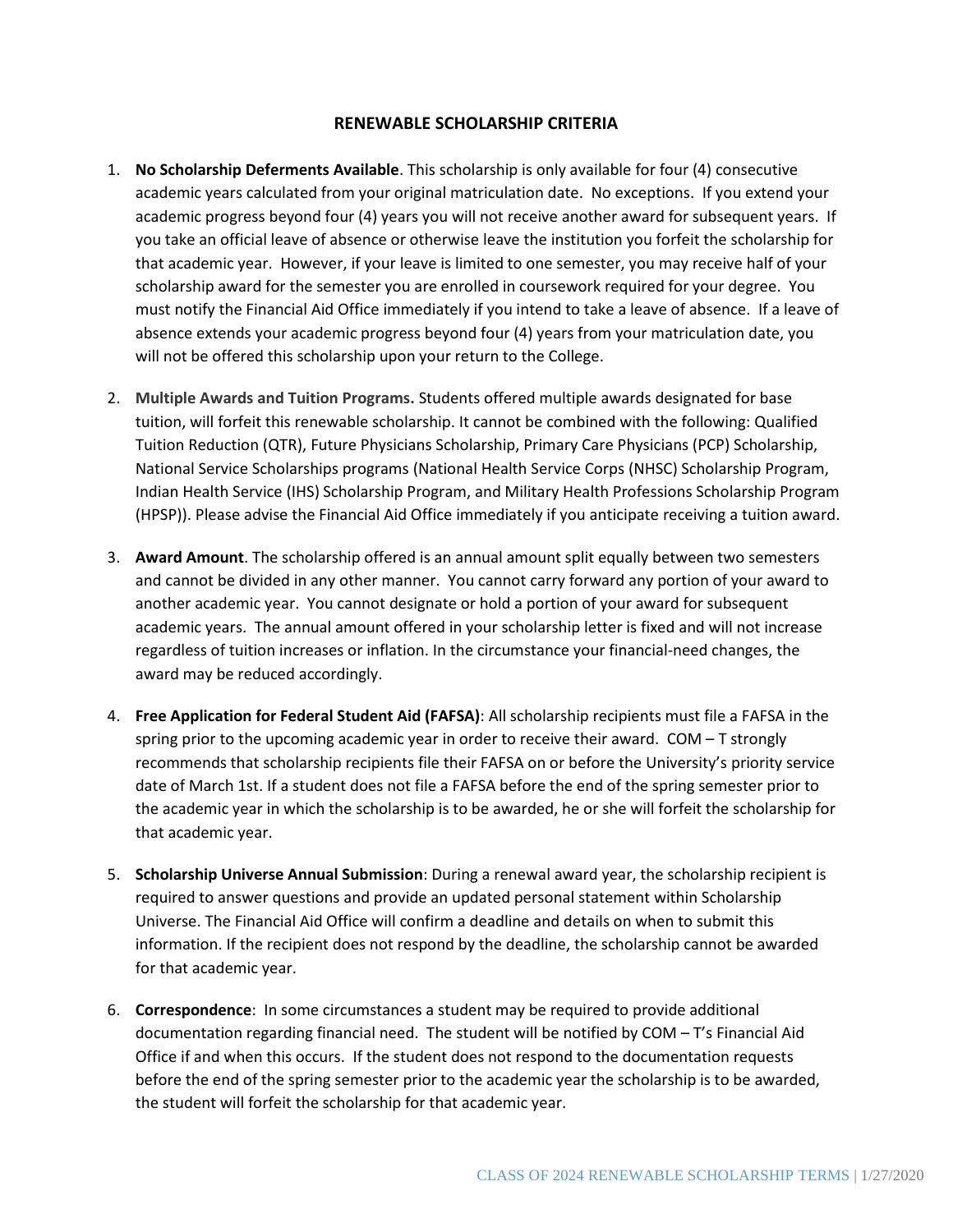## **RENEWABLE SCHOLARSHIP CRITERIA**

- 1. **No Scholarship Deferments Available**. This scholarship is only available for four (4) consecutive academic years calculated from your original matriculation date. No exceptions. If you extend your academic progress beyond four (4) years you will not receive another award for subsequent years. If you take an official leave of absence or otherwise leave the institution you forfeit the scholarship for that academic year. However, if your leave is limited to one semester, you may receive half of your scholarship award for the semester you are enrolled in coursework required for your degree. You must notify the Financial Aid Office immediately if you intend to take a leave of absence. If a leave of absence extends your academic progress beyond four (4) years from your matriculation date, you will not be offered this scholarship upon your return to the College.
- 2. **Multiple Awards and Tuition Programs.** Students offered multiple awards designated for base tuition, will forfeit this renewable scholarship. It cannot be combined with the following: Qualified Tuition Reduction (QTR), Future Physicians Scholarship, Primary Care Physicians (PCP) Scholarship, National Service Scholarships programs (National Health Service Corps (NHSC) Scholarship Program, Indian Health Service (IHS) Scholarship Program, and Military Health Professions Scholarship Program (HPSP)). Please advise the Financial Aid Office immediately if you anticipate receiving a tuition award.
- 3. **Award Amount**. The scholarship offered is an annual amount split equally between two semesters and cannot be divided in any other manner. You cannot carry forward any portion of your award to another academic year. You cannot designate or hold a portion of your award for subsequent academic years. The annual amount offered in your scholarship letter is fixed and will not increase regardless of tuition increases or inflation. In the circumstance your financial-need changes, the award may be reduced accordingly.
- 4. **Free Application for Federal Student Aid (FAFSA)**: All scholarship recipients must file a FAFSA in the spring prior to the upcoming academic year in order to receive their award. COM – T strongly recommends that scholarship recipients file their FAFSA on or before the University's priority service date of March 1st. If a student does not file a FAFSA before the end of the spring semester prior to the academic year in which the scholarship is to be awarded, he or she will forfeit the scholarship for that academic year.
- 5. **Scholarship Universe Annual Submission**: During a renewal award year, the scholarship recipient is required to answer questions and provide an updated personal statement within Scholarship Universe. The Financial Aid Office will confirm a deadline and details on when to submit this information. If the recipient does not respond by the deadline, the scholarship cannot be awarded for that academic year.
- 6. **Correspondence**: In some circumstances a student may be required to provide additional documentation regarding financial need. The student will be notified by COM – T's Financial Aid Office if and when this occurs. If the student does not respond to the documentation requests before the end of the spring semester prior to the academic year the scholarship is to be awarded, the student will forfeit the scholarship for that academic year.